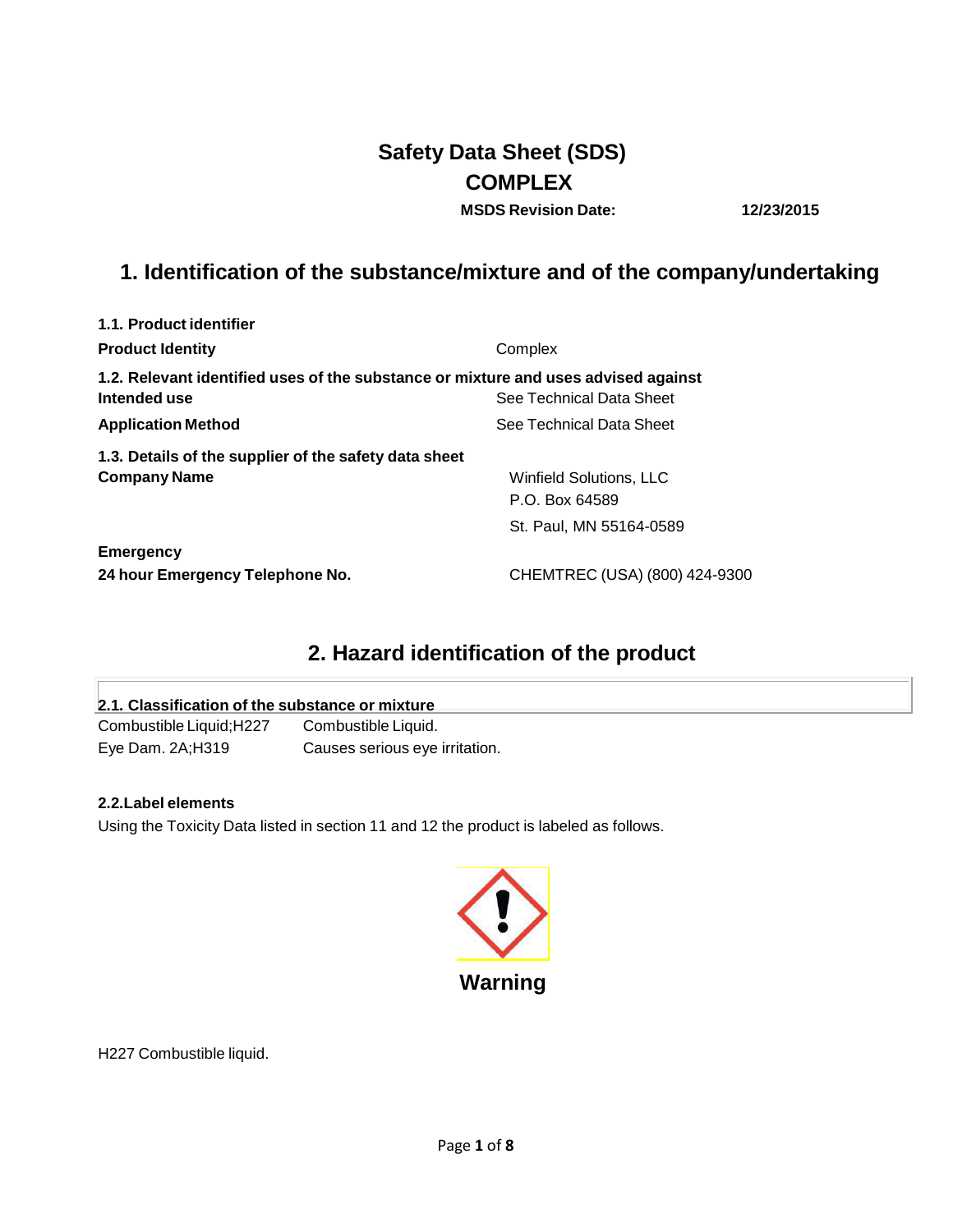# **Safety Data Sheet (SDS) COMPLEX**

**MSDS Revision Date: 12/23/2015**

# **1. Identification of the substance/mixture and of the company/undertaking**

| 1.1. Product identifier                                                                            |                                |
|----------------------------------------------------------------------------------------------------|--------------------------------|
| <b>Product Identity</b>                                                                            | Complex                        |
| 1.2. Relevant identified uses of the substance or mixture and uses advised against<br>Intended use | See Technical Data Sheet       |
| <b>Application Method</b>                                                                          | See Technical Data Sheet       |
| 1.3. Details of the supplier of the safety data sheet                                              |                                |
| <b>Company Name</b>                                                                                | <b>Winfield Solutions, LLC</b> |
|                                                                                                    | P.O. Box 64589                 |
|                                                                                                    | St. Paul, MN 55164-0589        |
| <b>Emergency</b>                                                                                   |                                |
| 24 hour Emergency Telephone No.                                                                    | CHEMTREC (USA) (800) 424-9300  |

# **2. Hazard identification of the product**

| 2.1. Classification of the substance or mixture |                                |  |
|-------------------------------------------------|--------------------------------|--|
| Combustible Liquid; H227                        | Combustible Liquid.            |  |
| Eye Dam. 2A:H319                                | Causes serious eye irritation. |  |

## **2.2.Label elements**

Using the Toxicity Data listed in section 11 and 12 the product is labeled as follows.



H227 Combustible liquid.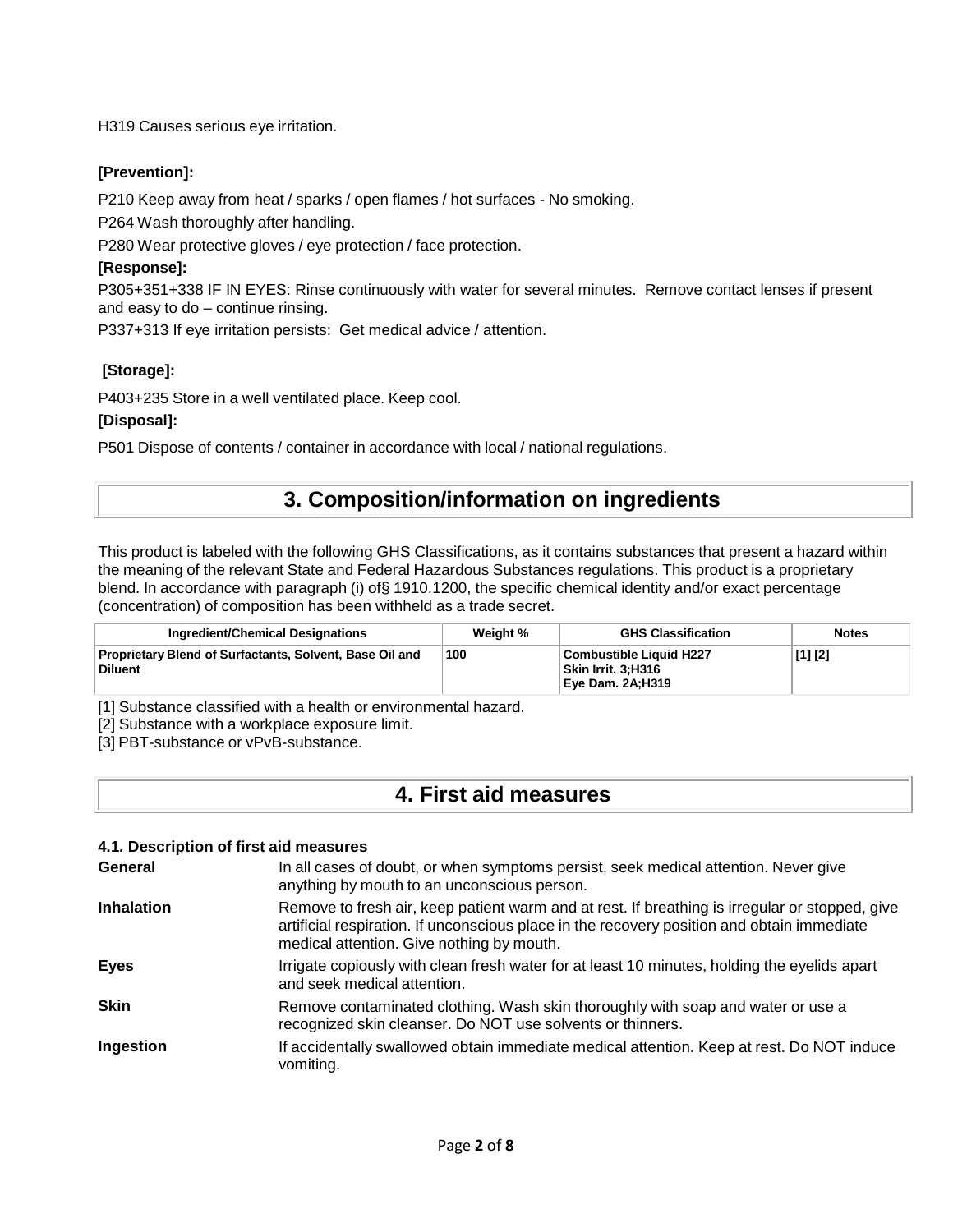H319 Causes serious eye irritation.

## **[Prevention]:**

P210 Keep away from heat / sparks / open flames / hot surfaces - No smoking.

P264 Wash thoroughly after handling.

P280 Wear protective gloves / eye protection / face protection.

## **[Response]:**

P305+351+338 IF IN EYES: Rinse continuously with water for several minutes. Remove contact lenses if present and easy to do – continue rinsing.

P337+313 If eye irritation persists: Get medical advice / attention.

## **[Storage]:**

P403+235 Store in a well ventilated place. Keep cool.

## **[Disposal]:**

P501 Dispose of contents / container in accordance with local / national regulations.

# **3. Composition/information on ingredients**

This product is labeled with the following GHS Classifications, as it contains substances that present a hazard within the meaning of the relevant State and Federal Hazardous Substances regulations. This product is a proprietary blend. In accordance with paragraph (i) of§ 1910.1200, the specific chemical identity and/or exact percentage (concentration) of composition has been withheld as a trade secret.

| Ingredient/Chemical Designations                                     | Weight % | <b>GHS Classification</b>                                         | <b>Notes</b> |
|----------------------------------------------------------------------|----------|-------------------------------------------------------------------|--------------|
| Proprietary Blend of Surfactants, Solvent, Base Oil and<br>∣ Diluent | 100      | Combustible Liquid H227<br>Skin Irrit. 3:H316<br>Eve Dam. 2A:H319 | [1] [2]      |

[1] Substance classified with a health or environmental hazard.

[2] Substance with a workplace exposure limit.

[3] PBT-substance or vPvB-substance.

## **4. First aid measures**

### **4.1. Description of first aid measures**

| General           | In all cases of doubt, or when symptoms persist, seek medical attention. Never give<br>anything by mouth to an unconscious person.                                                                                                        |
|-------------------|-------------------------------------------------------------------------------------------------------------------------------------------------------------------------------------------------------------------------------------------|
| <b>Inhalation</b> | Remove to fresh air, keep patient warm and at rest. If breathing is irregular or stopped, give<br>artificial respiration. If unconscious place in the recovery position and obtain immediate<br>medical attention. Give nothing by mouth. |
| <b>Eyes</b>       | Irrigate copiously with clean fresh water for at least 10 minutes, holding the eyelids apart<br>and seek medical attention.                                                                                                               |
| <b>Skin</b>       | Remove contaminated clothing. Wash skin thoroughly with soap and water or use a<br>recognized skin cleanser. Do NOT use solvents or thinners.                                                                                             |
| Ingestion         | If accidentally swallowed obtain immediate medical attention. Keep at rest. Do NOT induce<br>vomiting.                                                                                                                                    |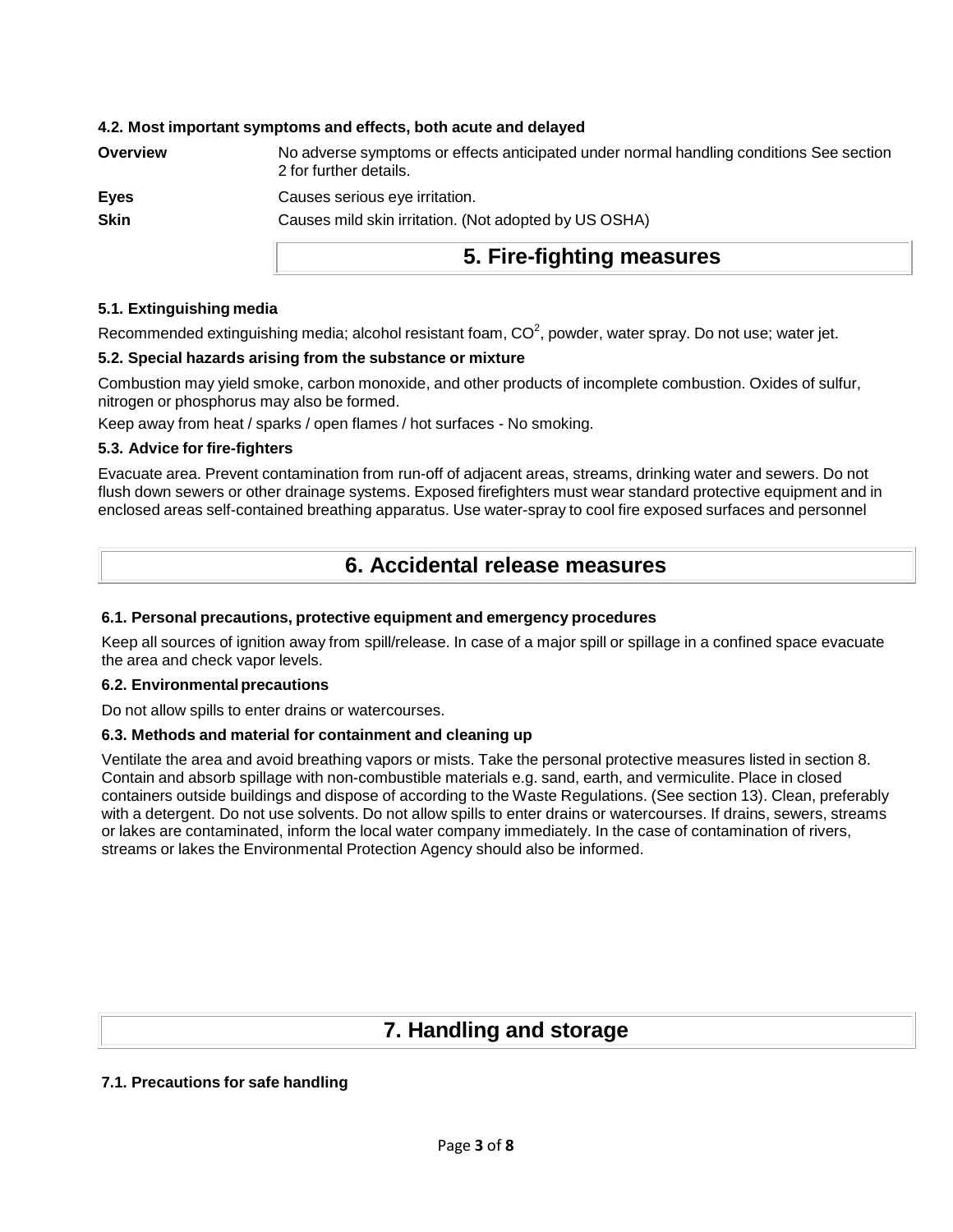## **4.2. Most important symptoms and effects, both acute and delayed**

| No adverse symptoms or effects anticipated under normal handling conditions See section<br>2 for further details. |
|-------------------------------------------------------------------------------------------------------------------|
| Causes serious eye irritation.                                                                                    |
| Causes mild skin irritation. (Not adopted by US OSHA)                                                             |
|                                                                                                                   |

## **5. Fire-fighting measures**

## **5.1. Extinguishing media**

Recommended extinguishing media; alcohol resistant foam,  $CO<sup>2</sup>$ , powder, water spray. Do not use; water jet.

## **5.2. Special hazards arising from the substance or mixture**

Combustion may yield smoke, carbon monoxide, and other products of incomplete combustion. Oxides of sulfur, nitrogen or phosphorus may also be formed.

Keep away from heat / sparks / open flames / hot surfaces - No smoking.

## **5.3. Advice for fire-fighters**

Evacuate area. Prevent contamination from run-off of adjacent areas, streams, drinking water and sewers. Do not flush down sewers or other drainage systems. Exposed firefighters must wear standard protective equipment and in enclosed areas self-contained breathing apparatus. Use water-spray to cool fire exposed surfaces and personnel

## **6. Accidental release measures**

## **6.1. Personal precautions, protective equipment and emergency procedures**

Keep all sources of ignition away from spill/release. In case of a major spill or spillage in a confined space evacuate the area and check vapor levels.

### **6.2. Environmental precautions**

Do not allow spills to enter drains or watercourses.

### **6.3. Methods and material for containment and cleaning up**

Ventilate the area and avoid breathing vapors or mists. Take the personal protective measures listed in section 8. Contain and absorb spillage with non-combustible materials e.g. sand, earth, and vermiculite. Place in closed containers outside buildings and dispose of according to the Waste Regulations. (See section 13). Clean, preferably with a detergent. Do not use solvents. Do not allow spills to enter drains or watercourses. If drains, sewers, streams or lakes are contaminated, inform the local water company immediately. In the case of contamination of rivers, streams or lakes the Environmental Protection Agency should also be informed.

## **7. Handling and storage**

## **7.1. Precautions for safe handling**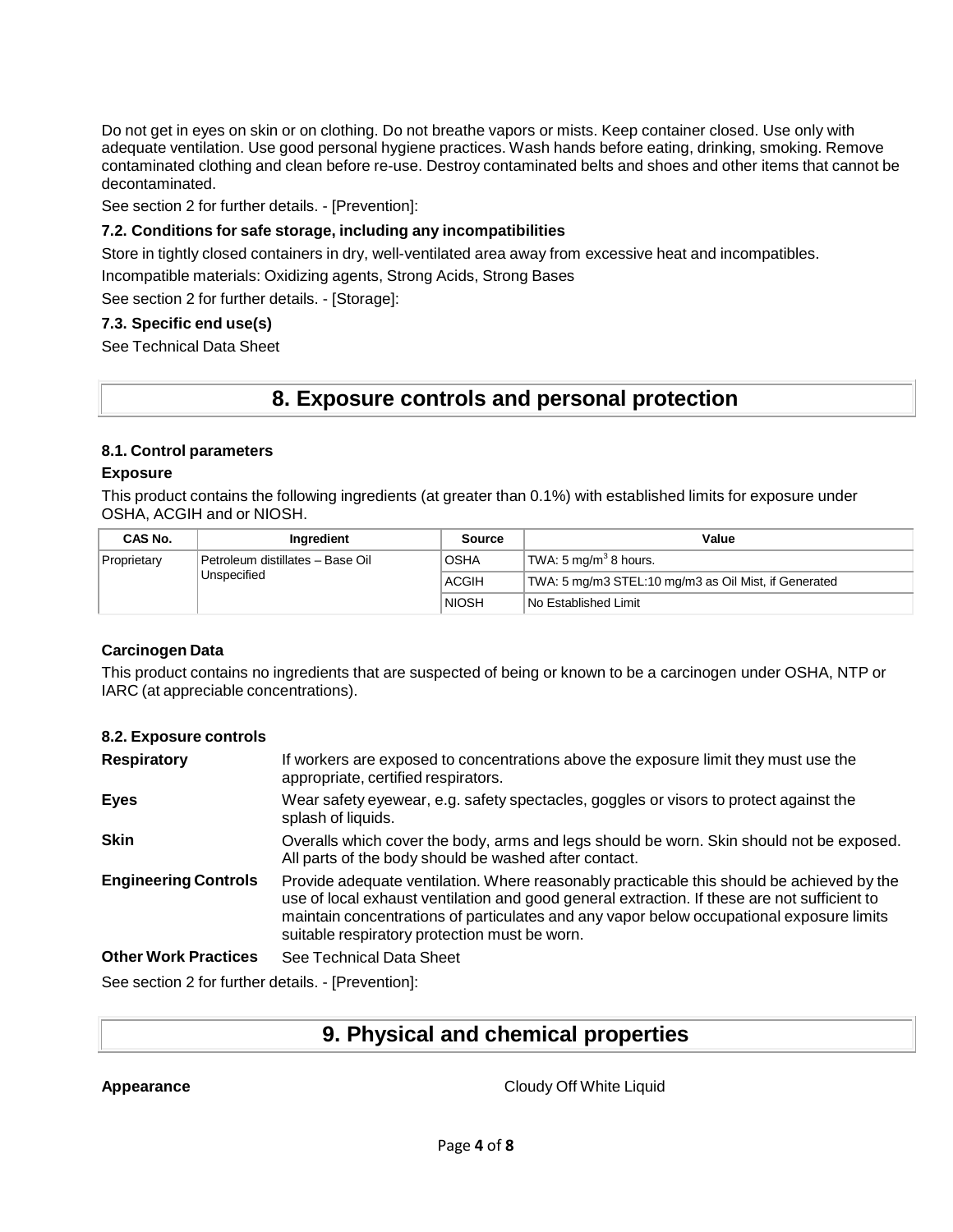Do not get in eyes on skin or on clothing. Do not breathe vapors or mists. Keep container closed. Use only with adequate ventilation. Use good personal hygiene practices. Wash hands before eating, drinking, smoking. Remove contaminated clothing and clean before re-use. Destroy contaminated belts and shoes and other items that cannot be decontaminated.

See section 2 for further details. - [Prevention]:

## **7.2. Conditions for safe storage, including any incompatibilities**

Store in tightly closed containers in dry, well-ventilated area away from excessive heat and incompatibles.

Incompatible materials: Oxidizing agents, Strong Acids, Strong Bases

See section 2 for further details. - [Storage]:

## **7.3. Specific end use(s)**

See Technical Data Sheet

## **8. Exposure controls and personal protection**

## **8.1. Control parameters**

## **Exposure**

This product contains the following ingredients (at greater than 0.1%) with established limits for exposure under OSHA, ACGIH and or NIOSH.

| CAS No.                                                        | Inaredient   | Source                                               | Value |
|----------------------------------------------------------------|--------------|------------------------------------------------------|-------|
| Petroleum distillates - Base Oil<br>Proprietary<br>Unspecified | <b>OSHA</b>  | $\vert$ TWA: 5 mg/m <sup>3</sup> 8 hours.            |       |
|                                                                | ACGIH        | TWA: 5 mg/m3 STEL:10 mg/m3 as Oil Mist, if Generated |       |
|                                                                | <b>NIOSH</b> | <b>No Established Limit</b>                          |       |

## **Carcinogen Data**

This product contains no ingredients that are suspected of being or known to be a carcinogen under OSHA, NTP or IARC (at appreciable concentrations).

### **8.2. Exposure controls**

| <b>Respiratory</b>          | If workers are exposed to concentrations above the exposure limit they must use the<br>appropriate, certified respirators.                                                                                                                                                                                                             |
|-----------------------------|----------------------------------------------------------------------------------------------------------------------------------------------------------------------------------------------------------------------------------------------------------------------------------------------------------------------------------------|
| <b>Eyes</b>                 | Wear safety eyewear, e.g. safety spectacles, goggles or visors to protect against the<br>splash of liquids.                                                                                                                                                                                                                            |
| <b>Skin</b>                 | Overalls which cover the body, arms and legs should be worn. Skin should not be exposed.<br>All parts of the body should be washed after contact.                                                                                                                                                                                      |
| <b>Engineering Controls</b> | Provide adequate ventilation. Where reasonably practicable this should be achieved by the<br>use of local exhaust ventilation and good general extraction. If these are not sufficient to<br>maintain concentrations of particulates and any vapor below occupational exposure limits<br>suitable respiratory protection must be worn. |
| <b>Other Work Practices</b> | See Technical Data Sheet                                                                                                                                                                                                                                                                                                               |

See section 2 for further details. - [Prevention]:

# **9. Physical and chemical properties**

**Appearance** Cloudy Off White Liquid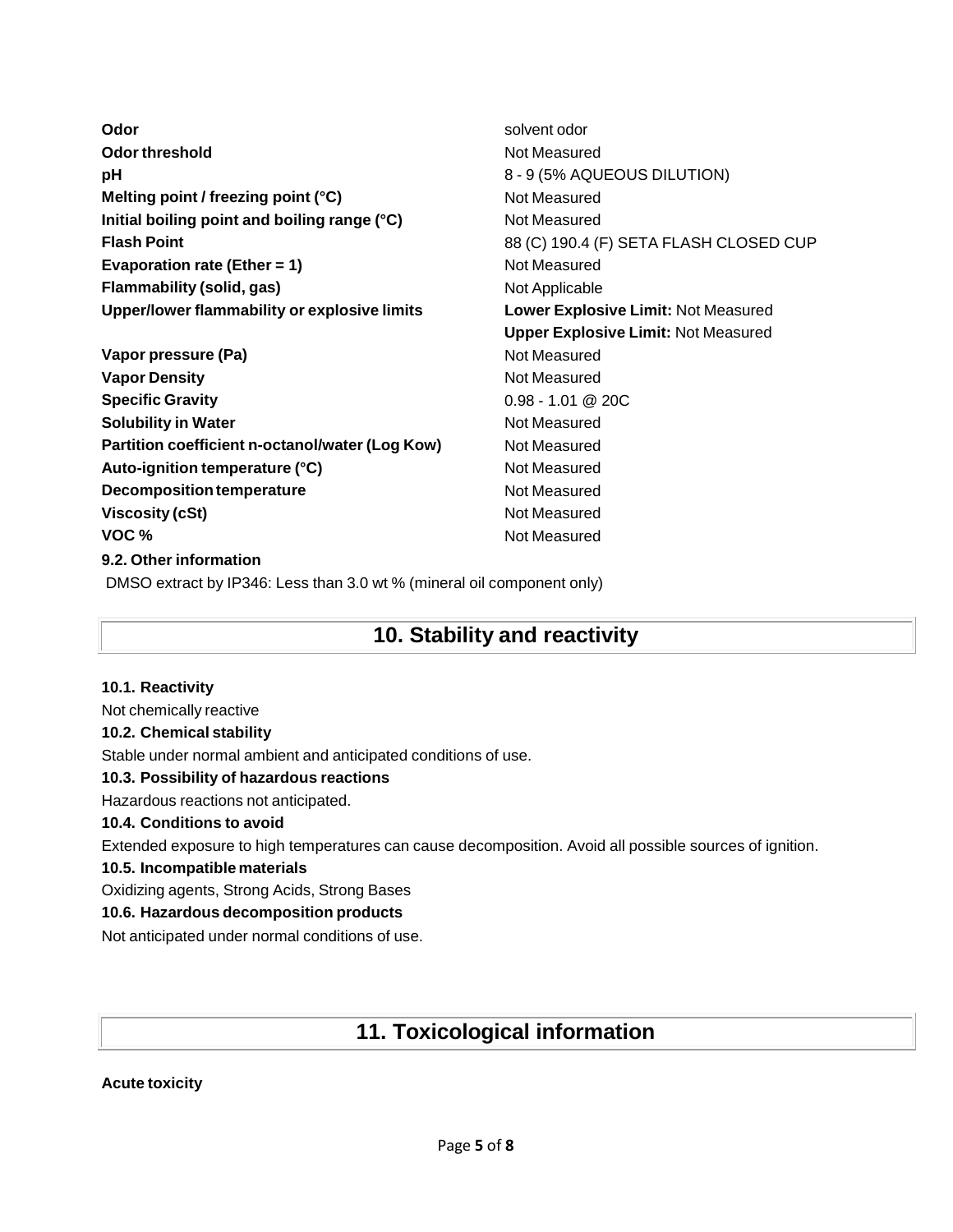| Odor                                                                   | solvent odor                               |
|------------------------------------------------------------------------|--------------------------------------------|
| <b>Odor threshold</b>                                                  | Not Measured                               |
| pH                                                                     | 8 - 9 (5% AQUEOUS DILUTION)                |
| Melting point / freezing point (°C)                                    | Not Measured                               |
| Initial boiling point and boiling range (°C)                           | Not Measured                               |
| <b>Flash Point</b>                                                     | 88 (C) 190.4 (F) SETA FLASH CLOSED CUP     |
| Evaporation rate (Ether = $1$ )                                        | Not Measured                               |
| Flammability (solid, gas)                                              | Not Applicable                             |
| Upper/lower flammability or explosive limits                           | Lower Explosive Limit: Not Measured        |
|                                                                        | <b>Upper Explosive Limit: Not Measured</b> |
| Vapor pressure (Pa)                                                    | Not Measured                               |
| <b>Vapor Density</b>                                                   | Not Measured                               |
| <b>Specific Gravity</b>                                                | $0.98 - 1.01 @ 20C$                        |
| <b>Solubility in Water</b>                                             | Not Measured                               |
| Partition coefficient n-octanol/water (Log Kow)                        | Not Measured                               |
| Auto-ignition temperature (°C)                                         | Not Measured                               |
| <b>Decomposition temperature</b>                                       | Not Measured                               |
| <b>Viscosity (cSt)</b>                                                 | Not Measured                               |
| VOC%                                                                   | Not Measured                               |
| 9.2. Other information                                                 |                                            |
| DMSO extract by IP346: Less than 3.0 wt % (mineral oil component only) |                                            |
|                                                                        |                                            |

# **10. Stability and reactivity**

## **10.1. Reactivity** Not chemically reactive **10.2. Chemical stability** Stable under normal ambient and anticipated conditions of use. **10.3. Possibility of hazardous reactions** Hazardous reactions not anticipated. **10.4. Conditions to avoid** Extended exposure to high temperatures can cause decomposition. Avoid all possible sources of ignition.

## **10.5. Incompatible materials**

Oxidizing agents, Strong Acids, Strong Bases

## **10.6. Hazardous decomposition products**

Not anticipated under normal conditions of use.

# **11. Toxicological information**

## **Acute toxicity**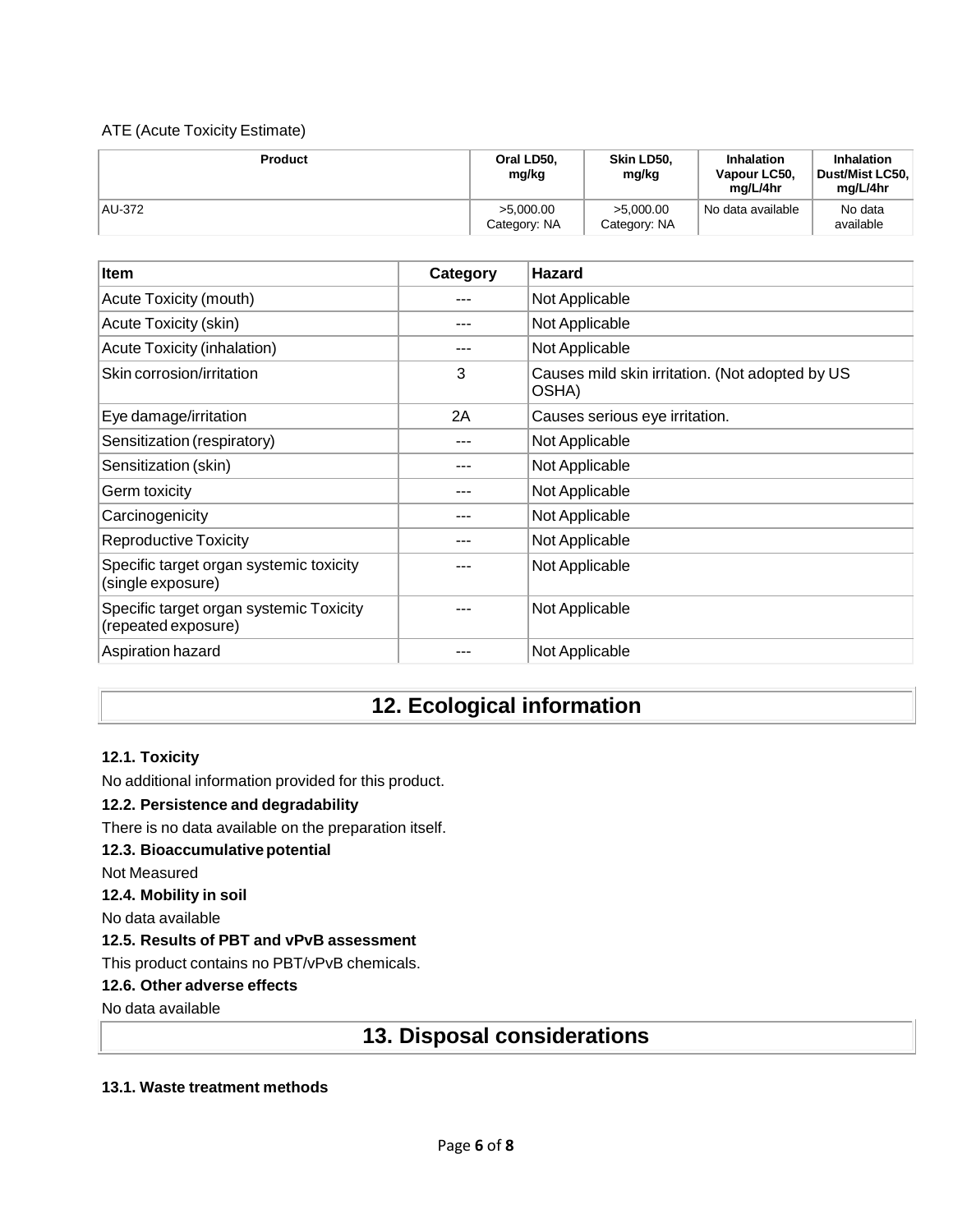## ATE (Acute Toxicity Estimate)

| <b>Product</b> | Oral LD50,<br>mg/kg       | Skin LD50,<br>mg/kg       | <b>Inhalation</b><br>Vapour LC50,<br>ma/L/4hr | <b>Inhalation</b><br>Dust/Mist LC50.<br>ma/L/4hr |
|----------------|---------------------------|---------------------------|-----------------------------------------------|--------------------------------------------------|
| AU-372         | >5.000.00<br>Category: NA | >5.000.00<br>Category: NA | <sup>1</sup> No data available                | No data<br>available                             |

| Item                                                           | Category | <b>Hazard</b>                                            |
|----------------------------------------------------------------|----------|----------------------------------------------------------|
| Acute Toxicity (mouth)                                         |          | Not Applicable                                           |
| Acute Toxicity (skin)                                          |          | Not Applicable                                           |
| Acute Toxicity (inhalation)                                    |          | Not Applicable                                           |
| Skin corrosion/irritation                                      | 3        | Causes mild skin irritation. (Not adopted by US<br>OSHA) |
| Eye damage/irritation                                          | 2A       | Causes serious eye irritation.                           |
| Sensitization (respiratory)                                    | ---      | Not Applicable                                           |
| Sensitization (skin)                                           |          | Not Applicable                                           |
| Germ toxicity                                                  |          | Not Applicable                                           |
| Carcinogenicity                                                |          | Not Applicable                                           |
| <b>Reproductive Toxicity</b>                                   |          | Not Applicable                                           |
| Specific target organ systemic toxicity<br>(single exposure)   |          | Not Applicable                                           |
| Specific target organ systemic Toxicity<br>(repeated exposure) |          | Not Applicable                                           |
| Aspiration hazard                                              |          | Not Applicable                                           |

# **12. Ecological information**

## **12.1. Toxicity**

No additional information provided for this product.

## **12.2. Persistence and degradability**

There is no data available on the preparation itself.

### **12.3. Bioaccumulative potential**

Not Measured

**12.4. Mobility in soil**

No data available

## **12.5. Results of PBT and vPvB assessment**

This product contains no PBT/vPvB chemicals.

## **12.6. Other adverse effects**

No data available

## **13. Disposal considerations**

## **13.1. Waste treatment methods**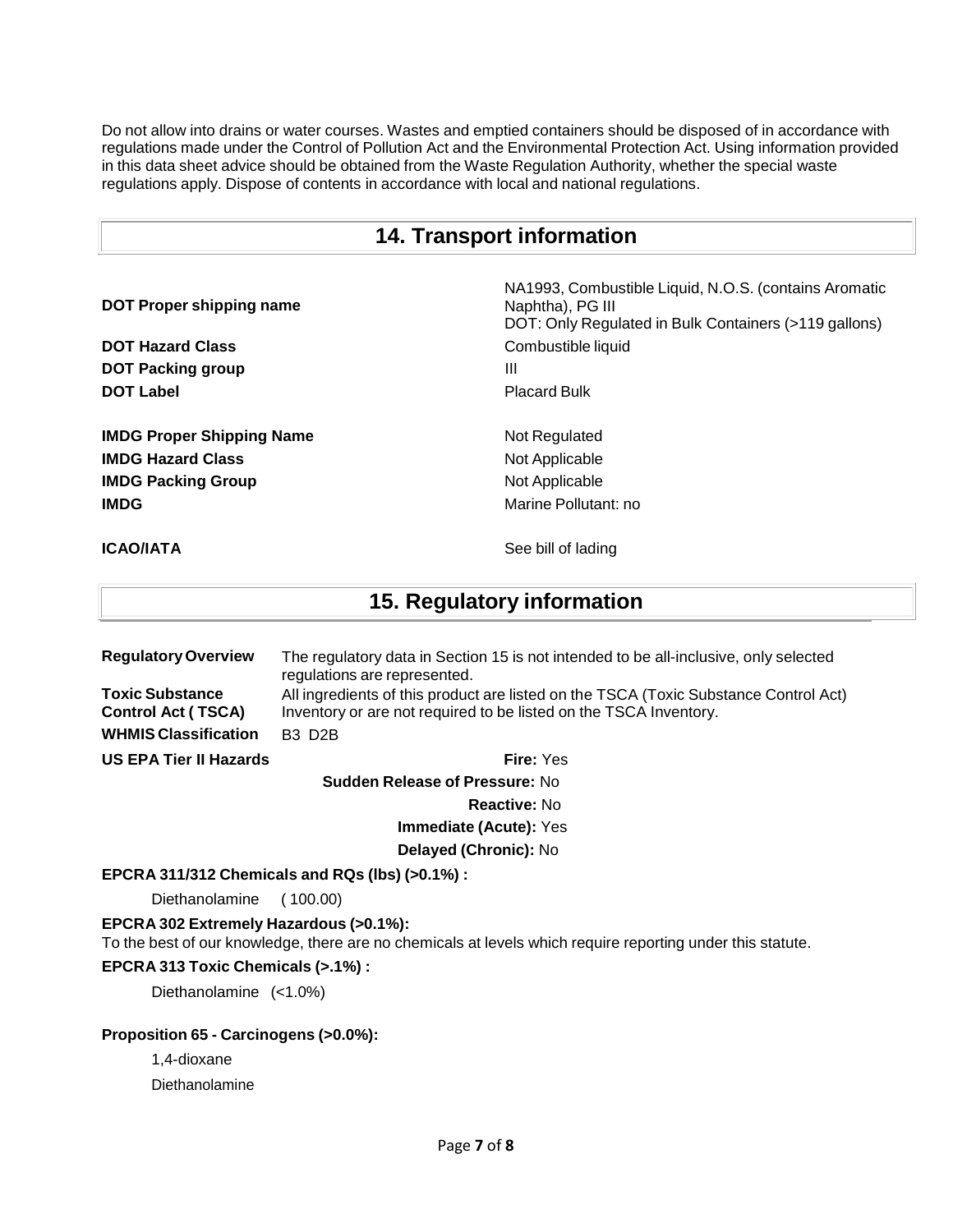Do not allow into drains or water courses. Wastes and emptied containers should be disposed of in accordance with regulations made under the Control of Pollution Act and the Environmental Protection Act. Using information provided in this data sheet advice should be obtained from the Waste Regulation Authority, whether the special waste regulations apply. Dispose of contents in accordance with local and national regulations.

## **14. Transport information**

**DOT Proper shipping name** NA1993, Combustible Liquid, N.O.S. (contains Aromatic Naphtha), PG III DOT: Only Regulated in Bulk Containers (>119 gallons) **DOT Hazard Class Combustible liquid Combustible liquid DOT** Packing group III **DOT Label** Placard Bulk **IMDG Proper Shipping Name Not Regulated IMDG Hazard Class Not Applicable Not Applicable IMDG Packing Group** Not Applicable **IMDG Marine Pollutant:** no

**ICAO/IATA** See bill of lading

# **15. Regulatory information**

| <b>Regulatory Overview</b>                          | The regulatory data in Section 15 is not intended to be all-inclusive, only selected<br>regulations are represented.                                      |
|-----------------------------------------------------|-----------------------------------------------------------------------------------------------------------------------------------------------------------|
| <b>Toxic Substance</b><br><b>Control Act (TSCA)</b> | All ingredients of this product are listed on the TSCA (Toxic Substance Control Act)<br>Inventory or are not required to be listed on the TSCA Inventory. |
| <b>WHMIS Classification</b>                         | <b>B3 D2B</b>                                                                                                                                             |
| <b>US EPA Tier II Hazards</b>                       | <b>Fire: Yes</b>                                                                                                                                          |

**Sudden Release of Pressure:** No

**Reactive:** No

**Immediate (Acute):** Yes

**Delayed (Chronic):** No

### **EPCRA 311/312 Chemicals and RQs (lbs) (>0.1%) :**

Diethanolamine ( 100.00)

**EPCRA 302 Extremely Hazardous (>0.1%):**

To the best of our knowledge, there are no chemicals at levels which require reporting under this statute.

## **EPCRA 313 Toxic Chemicals (>.1%) :**

Diethanolamine (<1.0%)

### **Proposition 65 - Carcinogens (>0.0%):**

1,4-dioxane

Diethanolamine